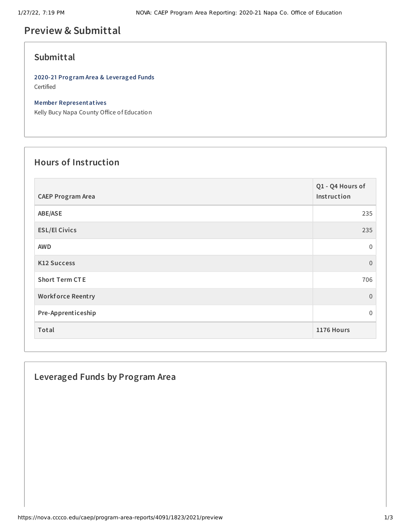# **Preview & Submittal**

## **Submittal**

**2020-21 Program Area & Leveraged Funds** Certified

#### **Member Representatives**

Kelly Bucy Napa County Office of Education

## **Hours of Instruction**

| <b>CAEP Program Area</b> | Q1 - Q4 Hours of<br>Instruction |
|--------------------------|---------------------------------|
| ABE/ASE                  | 235                             |
| <b>ESL/El Civics</b>     | 235                             |
| <b>AWD</b>               | 0                               |
| <b>K12 Success</b>       | $\overline{0}$                  |
| <b>Short Term CTE</b>    | 706                             |
| <b>Workforce Reentry</b> | $\overline{0}$                  |
| Pre-Apprenticeship       | 0                               |
| Total                    | 1176 Hours                      |

## **Leveraged Funds by Program Area**